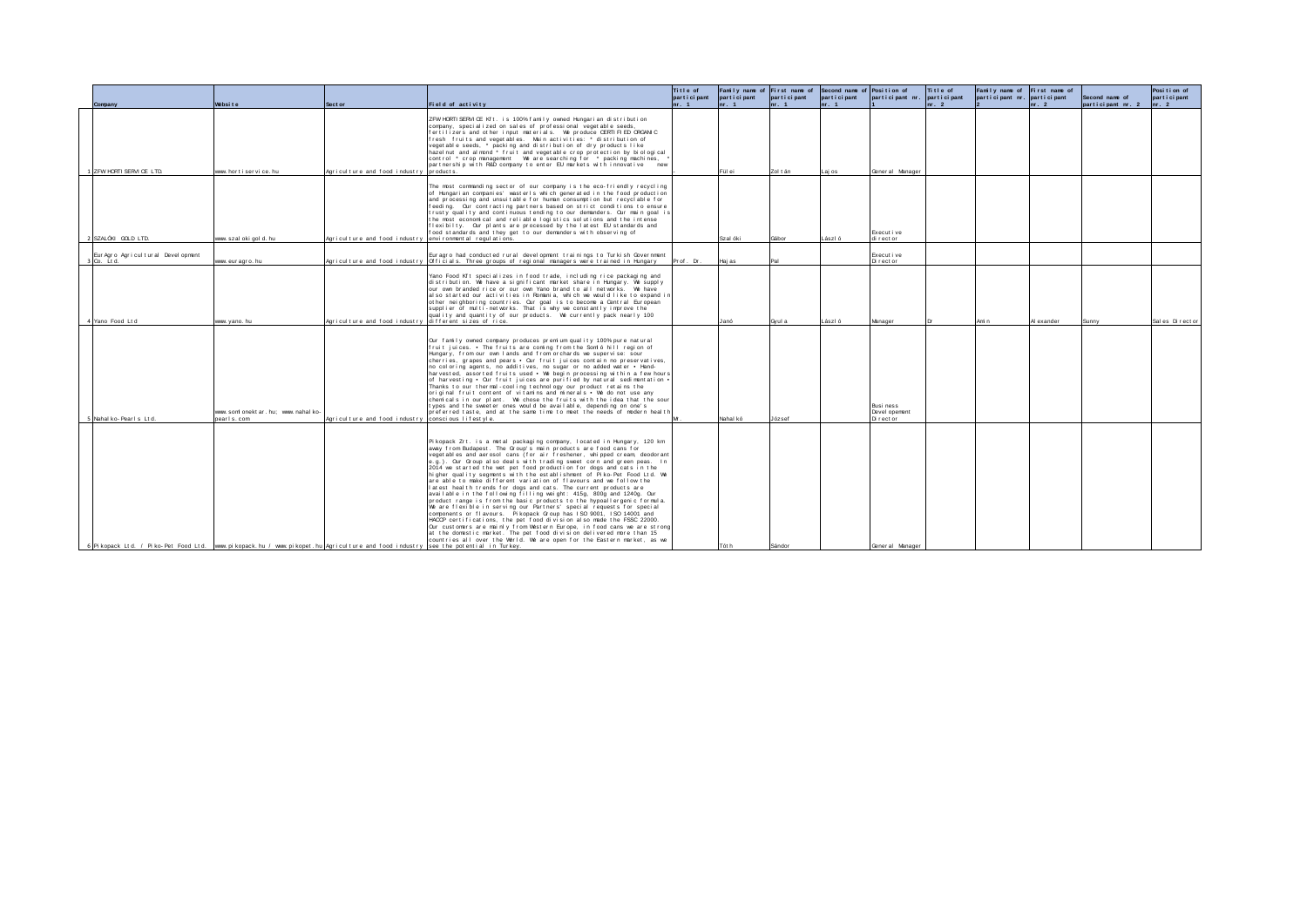|                                                                                                                                  |                                                   |                                                          |                                                                                                                                                                                                                                                                                                                                                                                                                                                                                                                                                                                                                                                                                                                                                                                                                                                                                                                                                                                                                                                                                                                                                                                                        | Title of<br>participant | Family name of First name of<br>participant | participant | Second name of Position of<br>participant | participant nr. participant            | Title of | Family name of First name of<br>participant nr. participant |            | Second name of    | Position of<br>part i ci pant |
|----------------------------------------------------------------------------------------------------------------------------------|---------------------------------------------------|----------------------------------------------------------|--------------------------------------------------------------------------------------------------------------------------------------------------------------------------------------------------------------------------------------------------------------------------------------------------------------------------------------------------------------------------------------------------------------------------------------------------------------------------------------------------------------------------------------------------------------------------------------------------------------------------------------------------------------------------------------------------------------------------------------------------------------------------------------------------------------------------------------------------------------------------------------------------------------------------------------------------------------------------------------------------------------------------------------------------------------------------------------------------------------------------------------------------------------------------------------------------------|-------------------------|---------------------------------------------|-------------|-------------------------------------------|----------------------------------------|----------|-------------------------------------------------------------|------------|-------------------|-------------------------------|
| Company                                                                                                                          | Website                                           | Sect or                                                  | Field of activity                                                                                                                                                                                                                                                                                                                                                                                                                                                                                                                                                                                                                                                                                                                                                                                                                                                                                                                                                                                                                                                                                                                                                                                      | $\ln r$ . 1             | $n_r$ , 1                                   | nr. 1       | $n = 1$                                   |                                        | nr. 2    |                                                             | nr. 2      | participant nr. 2 | $n-2$                         |
| 1 ZEW HORTLSERVLCE LTD.                                                                                                          | www.hortiservice.hu                               | Anticulture and food industry products.                  | ZFW HORTI SERVICE Kft. is 100% family owned Hungarian distribution<br>company, specialized on sales of professional vegetable seeds,<br>fertilizers and other input materials. We produce CERTIFIED ORGANIC<br>fresh fruits and vegetables. Main activities: * distribution of<br>veget able seeds, * packing and distribution of dry products like<br>hazel nut and almond * fruit and vegetable crop protection by biological<br>partnership with R&D company to enter EU markets with innovative new                                                                                                                                                                                                                                                                                                                                                                                                                                                                                                                                                                                                                                                                                                |                         | Fül ei                                      | Zol tán     | aniel                                     | General Manager                        |          |                                                             |            |                   |                               |
| 2 SZALÓKI GOLD LTD.                                                                                                              | www.szalokigold.hu                                | Agriculture and food industry environmental regulations. | The most commanding sector of our company is the eco-friendly recycling<br>of Hungarian companies' wasterls which generated in the food production<br>and processing and unsuitable for human consumption but recyclable for<br>feeding. Our contracting partners based on strict conditions to ensure<br>trusty quality and continuous tending to our demanders. Our main goal is<br>the most economical and reliable logistics solutions and the intense<br>flexibilty. Our plants are processed by the latest EU standards and<br>food standards and they get to our demanders with observing of                                                                                                                                                                                                                                                                                                                                                                                                                                                                                                                                                                                                    |                         | Szal óki                                    | Gábor       | László                                    | Execut i ve<br>di rector               |          |                                                             |            |                   |                               |
|                                                                                                                                  |                                                   |                                                          |                                                                                                                                                                                                                                                                                                                                                                                                                                                                                                                                                                                                                                                                                                                                                                                                                                                                                                                                                                                                                                                                                                                                                                                                        |                         |                                             |             |                                           |                                        |          |                                                             |            |                   |                               |
| Eur Agro Agricul tural Devel opment<br>3 Co. Ltd.                                                                                | www.euragro.hu                                    |                                                          | Euragro had conducted rural development trainings to Turkish Government<br>Agriculture and food industry Officials. Three groups of regional managers were trained in Hungary Prof. Dr.                                                                                                                                                                                                                                                                                                                                                                                                                                                                                                                                                                                                                                                                                                                                                                                                                                                                                                                                                                                                                |                         | Haj as                                      |             |                                           | Execut i ve<br>Director                |          |                                                             |            |                   |                               |
| 4 Yano Food Lt d                                                                                                                 | www. vano, hu                                     | Agriculture and food industry                            | Yano Food Kft specializes in food trade, including rice packaging and<br>distribution. We have a significant market share in Hungary. We supply<br>our own branded rice or our own Yano brand to all networks. We have<br>also started our activities in Romania, which we would like to expand in<br>other neighboring countries. Our goal is to become a Central European<br>supplier of multi-networks. That is why we constantly improve the<br>quality and quantity of our products. We currently pack nearly 100<br>different sizes of rice.                                                                                                                                                                                                                                                                                                                                                                                                                                                                                                                                                                                                                                                     |                         | Janó                                        | Gvul a      | László                                    | Manager                                |          | Amin                                                        | Al exander | Sunny             | Sal es Directo                |
| 5 Nahal ko-Pearls Ltd.                                                                                                           | www.somionektar.hu: www.nahalko-<br>pear I s. com | Agriculture and food industry                            | Our family owned company produces premium quality 100% pure natural<br>fruit iuices. • The fruits are coming from the Somió hill region of<br>Hungary, from our own lands and from orchards we supervise: sour<br>cherries, grapes and pears • Our fruit iuices contain no preservatives.<br>no coloring agents, no additives, no sugar or no added water . Hand-<br>harvested, assorted fruits used • We begin processing within a few hours<br>of harvesting • Our fruit iuices are purified by natural sedimentation •<br>Thanks to our thermal-cooling technology our product retains the<br>original fruit content of vitamins and minerals • We do not use any<br>chemicals in our plant. We chose the fruits with the idea that the sour<br>types and the sweeter ones would be available, depending on one's<br>preferred taste, and at the same time to meet the needs of modern health<br>conscious lifestyle.                                                                                                                                                                                                                                                                               |                         | Nahal kó                                    | József      |                                           | Busi ness<br>Devel opement<br>Director |          |                                                             |            |                   |                               |
| 6 Pikopack Ltd. / Piko-Pet Food Ltd. www.pikopack.hu / www.pikopet.hu Agriculture and food industry see the potential in Turkey. |                                                   |                                                          | Pikopack Zrt. is a metal packaging company, located in Hungary, 120 km<br>away from Budapest. The Group's main products are food cans for<br>veget ables and aerosol cans (for air freshener, whipped cream deodorant<br>e.g.). Our Group also deals with trading sweet corn and green peas. In<br>2014 we started the wet pet food production for dogs and cats in the<br>higher quality segments with the establishment of Piko-Pet Food Ltd. We<br>are able to make different variation of flavours and we follow the<br>latest health trends for dogs and cats. The current products are<br>available in the following filling weight: 415g, 800g and 1240g, Our<br>product range is from the basic products to the hypoallergenic formula.<br>We are flexible in serving our Partners' special requests for special<br>components or flavours. Pikopack Group has ISO 9001, ISO 14001 and<br>HACCP certifications, the pet food division also made the FSSC 22000.<br>Our customers are mainly from Western Europe, in food cans we are strong<br>at the domestic market. The pet food division delivered more than 15<br>countries all over the World. We are open for the Eastern market, as we |                         | Tót h                                       | Sándor      |                                           | General Manager                        |          |                                                             |            |                   |                               |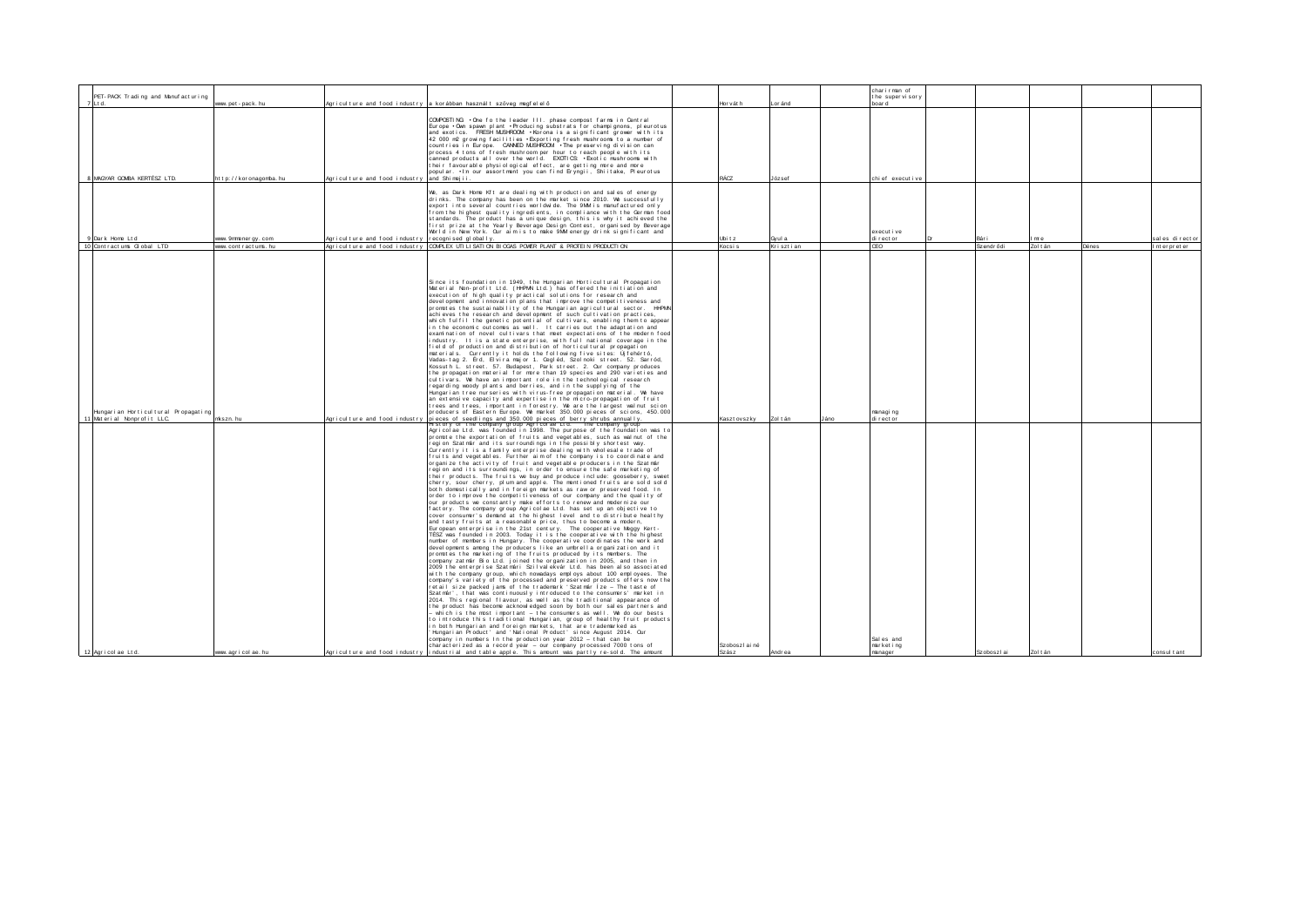|                                     |                       |                                                    |                                                                                                                                                                             |                |           |      | charirman of    |             |          |       |                |
|-------------------------------------|-----------------------|----------------------------------------------------|-----------------------------------------------------------------------------------------------------------------------------------------------------------------------------|----------------|-----------|------|-----------------|-------------|----------|-------|----------------|
| PET-PACK Trading and Manufacturing  |                       |                                                    |                                                                                                                                                                             |                |           |      | the supervisory |             |          |       |                |
|                                     | www.pet-pack.hu       |                                                    | Agriculture and food industry a korábban használt szöveg megfelelő                                                                                                          | Horváth        | Lor ánd   |      | hnar d          |             |          |       |                |
|                                     |                       |                                                    |                                                                                                                                                                             |                |           |      |                 |             |          |       |                |
|                                     |                       |                                                    | COMPOSTING: • One fo the leader III. phase compost farms in Central                                                                                                         |                |           |      |                 |             |          |       |                |
|                                     |                       |                                                    | Europe . Own spawn plant . Producing substrats for champignons, pleurotus                                                                                                   |                |           |      |                 |             |          |       |                |
|                                     |                       |                                                    | and exotics. FRESH MUSHROOM . Korona is a significant grower with its                                                                                                       |                |           |      |                 |             |          |       |                |
|                                     |                       |                                                    | 42 000 m2 growing facilities . Exporting fresh mushrooms to a number of                                                                                                     |                |           |      |                 |             |          |       |                |
|                                     |                       |                                                    | countries in Europe. CANNED MUSHROOM . The preserving division can                                                                                                          |                |           |      |                 |             |          |       |                |
|                                     |                       |                                                    | process 4 tons of fresh mushroom per hour to reach people with its                                                                                                          |                |           |      |                 |             |          |       |                |
|                                     |                       |                                                    | canned products all over the world. EXOTICS: •Exotic mushrooms with                                                                                                         |                |           |      |                 |             |          |       |                |
|                                     |                       |                                                    | their favourable physiological effect, are getting more and more<br>popular. • En our assortment you can find Eryngii, Shiitake, Pleurotus                                  |                |           |      |                 |             |          |       |                |
|                                     |                       |                                                    |                                                                                                                                                                             |                |           |      |                 |             |          |       |                |
| 8 MAGYAR GOMBA KERTÉSZ LTD.         | http://koronagomba.hu | Agriculture and food industry land Shimeiii.       |                                                                                                                                                                             | RÁCZ           | József    |      | chief executive |             |          |       |                |
|                                     |                       |                                                    |                                                                                                                                                                             |                |           |      |                 |             |          |       |                |
|                                     |                       |                                                    | We, as Dark Home Kit are dealing with production and sales of energy                                                                                                        |                |           |      |                 |             |          |       |                |
|                                     |                       |                                                    | drinks. The company has been on the market since 2010. We successfully                                                                                                      |                |           |      |                 |             |          |       |                |
|                                     |                       |                                                    | export into several countries worldwide. The 9MM is manufactured only                                                                                                       |                |           |      |                 |             |          |       |                |
|                                     |                       |                                                    | from the highest quality ingredients, in compliance with the German food<br>standards. The product has a unique design, this is why it achieved the                         |                |           |      |                 |             |          |       |                |
|                                     |                       |                                                    | first prize at the Yearly Beverage Design Contest, organised by Beverage                                                                                                    |                |           |      |                 |             |          |       |                |
|                                     |                       |                                                    | World in New York. Our aim is to make 9MM energy drink significant and                                                                                                      |                |           |      | execut i ve     |             |          |       |                |
| 9 Dark Home Ltd                     | ww. 9mmener gy. com   | Agriculture and food industry recognised globally. |                                                                                                                                                                             | Ubitz          | Gvul a    |      | di rect or      | Róri        | mre      |       | sal es directo |
| 10 Contractums Global LTD           | www.contractums.hu    |                                                    | Agriculture and food industry COMPLEX UTILISATION BIOGAS POVER PLANT & PROTEIN PRODUCTION                                                                                   | Kocsis         | Krisztian |      | CEO             | Szendr ődi  | Zol t án | Dénes | Interpreter    |
|                                     |                       |                                                    |                                                                                                                                                                             |                |           |      |                 |             |          |       |                |
|                                     |                       |                                                    |                                                                                                                                                                             |                |           |      |                 |             |          |       |                |
|                                     |                       |                                                    |                                                                                                                                                                             |                |           |      |                 |             |          |       |                |
|                                     |                       |                                                    |                                                                                                                                                                             |                |           |      |                 |             |          |       |                |
|                                     |                       |                                                    | Since its foundation in 1949, the Hungarian Horticultural Propagation                                                                                                       |                |           |      |                 |             |          |       |                |
|                                     |                       |                                                    | Material Non-profit Ltd. (HHPMN Ltd.) has offered the initiation and                                                                                                        |                |           |      |                 |             |          |       |                |
|                                     |                       |                                                    | execution of high quality practical solutions for research and                                                                                                              |                |           |      |                 |             |          |       |                |
|                                     |                       |                                                    | devel opment and innovation plans that improve the competitiveness and                                                                                                      |                |           |      |                 |             |          |       |                |
|                                     |                       |                                                    | promotes the sustainability of the Hungarian agricultural sector. HPM                                                                                                       |                |           |      |                 |             |          |       |                |
|                                     |                       |                                                    | achieves the research and development of such cultivation practices,                                                                                                        |                |           |      |                 |             |          |       |                |
|                                     |                       |                                                    | which fulfil the genetic potential of cultivars, enabling them to appear                                                                                                    |                |           |      |                 |             |          |       |                |
|                                     |                       |                                                    | in the economic outcomes as well. It carries out the adaptation and                                                                                                         |                |           |      |                 |             |          |       |                |
|                                     |                       |                                                    | examination of novel cultivars that meet expectations of the modern food                                                                                                    |                |           |      |                 |             |          |       |                |
|                                     |                       |                                                    | ndustry. It is a state enterprise, with full national coverage in the                                                                                                       |                |           |      |                 |             |          |       |                |
|                                     |                       |                                                    | field of production and distribution of horticultural propagation.                                                                                                          |                |           |      |                 |             |          |       |                |
|                                     |                       |                                                    | materials. Currently it holds the following five sites: Ujfeherto,<br>Vadas-tag 2. Érd. Elvira maior 1. Cegléd. Szolnoki street. 52. Sarród.                                |                |           |      |                 |             |          |       |                |
|                                     |                       |                                                    | Kossuth L. street. 57. Budapest, Park street. 2. Our company produces                                                                                                       |                |           |      |                 |             |          |       |                |
|                                     |                       |                                                    | the propagation material for more than 19 species and 290 varieties and                                                                                                     |                |           |      |                 |             |          |       |                |
|                                     |                       |                                                    | cultivars. We have an important role in the technological research                                                                                                          |                |           |      |                 |             |          |       |                |
|                                     |                       |                                                    | egarding woody plants and berries, and in the supplying of the                                                                                                              |                |           |      |                 |             |          |       |                |
|                                     |                       |                                                    | Hungarian tree nurseries with virus–free propagation material. We have                                                                                                      |                |           |      |                 |             |          |       |                |
|                                     |                       |                                                    | an extensive capacity and expertise in the micro-propagation of fruit                                                                                                       |                |           |      |                 |             |          |       |                |
|                                     |                       |                                                    | trees and trees, important in forestry. We are the largest walnut scion                                                                                                     |                |           |      |                 |             |          |       |                |
| Hungarian Horticultural Propagating |                       |                                                    | producers of Eastern Europe. We market 350,000 pieces of scions. 450,000                                                                                                    |                |           |      | managi ng       |             |          |       |                |
| 11 Material Nonprofit LLC.          | mkszn hu              |                                                    | Agriculture and food industry pieces of seedlings and 350.000 pieces of berry shrubs annually.                                                                              | Kaszt ovszky   | Zol t án  | Jáno | di rector       |             |          |       |                |
|                                     |                       |                                                    | story or the company group Agricolae Ltd. The company grou<br>Agricolae Ltd. was founded in 1998. The purpose of the foundation was to                                      |                |           |      |                 |             |          |       |                |
|                                     |                       |                                                    | prompte the exportation of fruits and vegetables, such as walnut of the                                                                                                     |                |           |      |                 |             |          |       |                |
|                                     |                       |                                                    | region Szatmár and its surroundings in the possibly shortest way.                                                                                                           |                |           |      |                 |             |          |       |                |
|                                     |                       |                                                    | Currently it is a family enterprise dealing with wholesale trade of                                                                                                         |                |           |      |                 |             |          |       |                |
|                                     |                       |                                                    | fruits and vegetables. Further aim of the company is to coordinate and                                                                                                      |                |           |      |                 |             |          |       |                |
|                                     |                       |                                                    | organize the activity of fruit and vegetable producers in the Szatmár                                                                                                       |                |           |      |                 |             |          |       |                |
|                                     |                       |                                                    | egion and its surroundings, in order to ensure the safe marketing of                                                                                                        |                |           |      |                 |             |          |       |                |
|                                     |                       |                                                    | their products. The fruits we buy and produce include: gooseberry, sweet                                                                                                    |                |           |      |                 |             |          |       |                |
|                                     |                       |                                                    | cherry, sour cherry, plum and apple. The mentioned fruits are sold sold                                                                                                     |                |           |      |                 |             |          |       |                |
|                                     |                       |                                                    | both domestically and in foreign markets as raw or preserved food. In                                                                                                       |                |           |      |                 |             |          |       |                |
|                                     |                       |                                                    | order to improve the competitiveness of our company and the quality of<br>our products we constantly make efforts to renew and modernize our                                |                |           |      |                 |             |          |       |                |
|                                     |                       |                                                    | factory. The company group Agricolae Ltd. has set up an objective to                                                                                                        |                |           |      |                 |             |          |       |                |
|                                     |                       |                                                    | cover consumer's demand at the highest level and to distribute healthy                                                                                                      |                |           |      |                 |             |          |       |                |
|                                     |                       |                                                    | and tasty fruits at a reasonable price, thus to become a modern,                                                                                                            |                |           |      |                 |             |          |       |                |
|                                     |                       |                                                    | European enterprise in the 21st century. The cooperative Meggy Kert-                                                                                                        |                |           |      |                 |             |          |       |                |
|                                     |                       |                                                    | TÉSZ was founded in 2003. Today it is the cooperative with the highest                                                                                                      |                |           |      |                 |             |          |       |                |
|                                     |                       |                                                    | number of members in Hungary. The cooperative coordinates the work and                                                                                                      |                |           |      |                 |             |          |       |                |
|                                     |                       |                                                    | devel opments among the producers like an umbrella organization and it                                                                                                      |                |           |      |                 |             |          |       |                |
|                                     |                       |                                                    | promotes the marketing of the fruits produced by its members. The                                                                                                           |                |           |      |                 |             |          |       |                |
|                                     |                       |                                                    | company zatmár Bio Ltd. joined the organization in 2005, and then in                                                                                                        |                |           |      |                 |             |          |       |                |
|                                     |                       |                                                    | 2009 the enterprise Szatmári Szilvalekvár Ltd. has been also associated                                                                                                     |                |           |      |                 |             |          |       |                |
|                                     |                       |                                                    | with the company group, which nowadays employs about 100 employees. The<br>company's variety of the processed and preserved products offers now the                         |                |           |      |                 |             |          |       |                |
|                                     |                       |                                                    | retail size packed jams of the trademark 'Szatmár Íze - The taste of                                                                                                        |                |           |      |                 |             |          |       |                |
|                                     |                       |                                                    | Szatmár', that was continuously introduced to the consumers' market in                                                                                                      |                |           |      |                 |             |          |       |                |
|                                     |                       |                                                    | 2014. This regional flavour, as well as the traditional appearance of                                                                                                       |                |           |      |                 |             |          |       |                |
|                                     |                       |                                                    | the product has become acknowledged soon by both our sales partners and                                                                                                     |                |           |      |                 |             |          |       |                |
|                                     |                       |                                                    | which is the most important - the consumers as well. We do our bests                                                                                                        |                |           |      |                 |             |          |       |                |
|                                     |                       |                                                    | to introduce this traditional Hungarian, group of healthy fruit products                                                                                                    |                |           |      |                 |             |          |       |                |
|                                     |                       |                                                    | n both Hungarian and foreign markets, that are trademarked as                                                                                                               |                |           |      |                 |             |          |       |                |
|                                     |                       |                                                    | Hungarian Product' and 'National Product' since August 2014. Our                                                                                                            |                |           |      |                 |             |          |       |                |
|                                     |                       |                                                    | company in numbers In the production year 2012 - that can be                                                                                                                |                |           |      | Sal es and      |             |          |       |                |
| 12 Agricolae Ltd.                   | www.agricolae.hu      |                                                    | characterized as a record year - our company processed 7000 tons of<br>Agriculture and food industry industrial and table apple. This amount was partly re-sold. The amount | Szoboszl ai né |           |      | market ing      | Szoboszl ai | Zol t án |       |                |
|                                     |                       |                                                    |                                                                                                                                                                             | Szász          | Andr ea   |      | mananer         |             |          |       | the tlugnor    |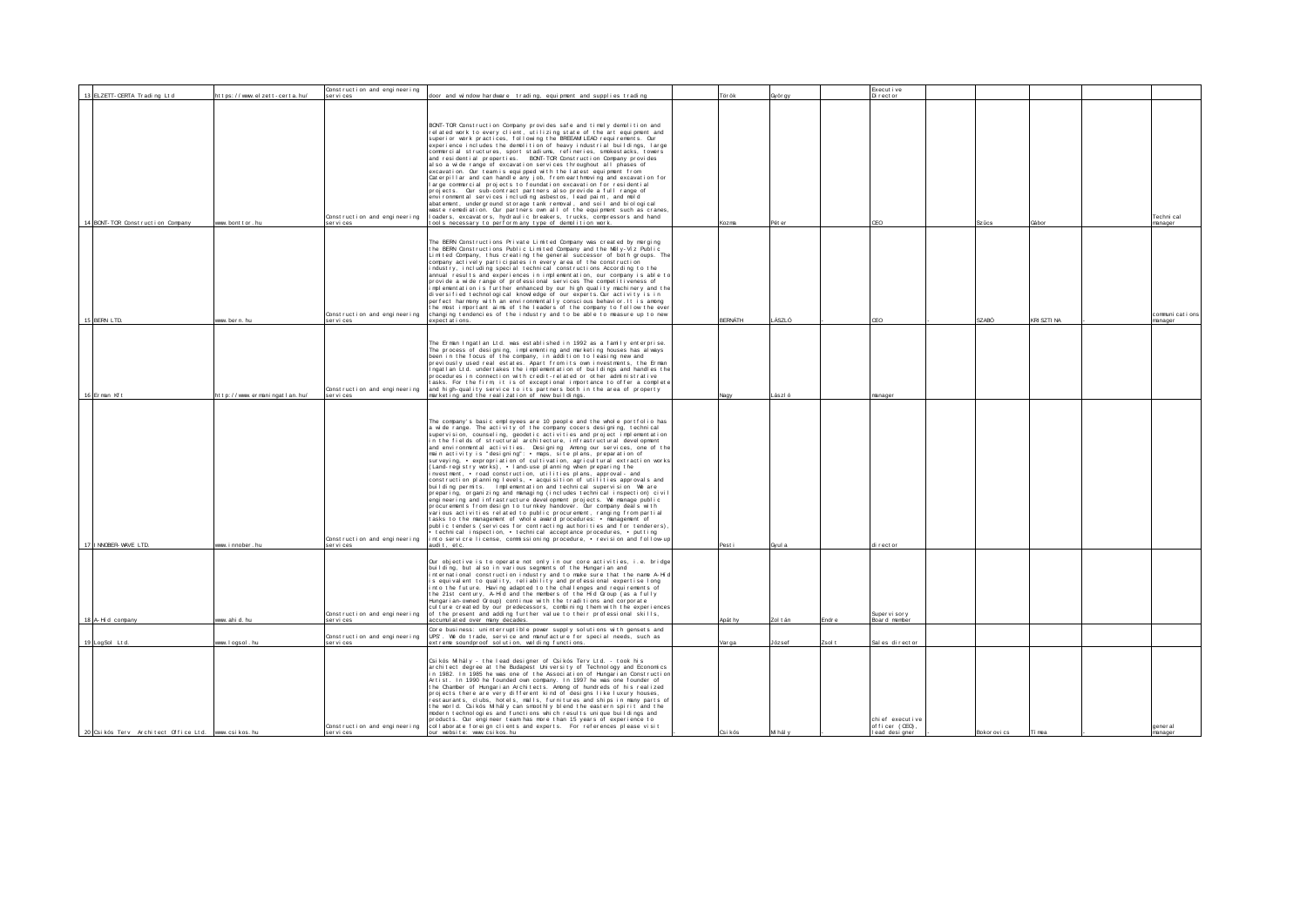| 13 ELZETT- CERTA Trading Ltd         | https://www.elzett-certa.hu/ | Construction and engineering<br>ser vi ces | door and window hardware trading, equipment and supplies trading                                                                                   | Tör ök         | 3yörgy   | Execut i ve<br>Director  |              |             |                |
|--------------------------------------|------------------------------|--------------------------------------------|----------------------------------------------------------------------------------------------------------------------------------------------------|----------------|----------|--------------------------|--------------|-------------|----------------|
|                                      |                              |                                            |                                                                                                                                                    |                |          |                          |              |             |                |
|                                      |                              |                                            |                                                                                                                                                    |                |          |                          |              |             |                |
|                                      |                              |                                            |                                                                                                                                                    |                |          |                          |              |             |                |
|                                      |                              |                                            | BONT-TOR Construction Company provides safe and timely demolition and                                                                              |                |          |                          |              |             |                |
|                                      |                              |                                            | related work to every client, utilizing state of the art equipment and<br>superior work practices, following the BREEAM LEAD requirements. Our     |                |          |                          |              |             |                |
|                                      |                              |                                            | experience includes the demolition of heavy industrial buildings, large                                                                            |                |          |                          |              |             |                |
|                                      |                              |                                            | commercial structures, sport stadiums, refineries, smokestacks, towers                                                                             |                |          |                          |              |             |                |
|                                      |                              |                                            | and residential properties. BONT-TOR Construction Company provides                                                                                 |                |          |                          |              |             |                |
|                                      |                              |                                            | also a wide range of excavation services throughout all phases of<br>excavation. Our team is equipped with the latest equipment from               |                |          |                          |              |             |                |
|                                      |                              |                                            | Caterpillar and can handle any job, from earthmoving and excavation for                                                                            |                |          |                          |              |             |                |
|                                      |                              |                                            | large commercial projects to foundation excavation for residential                                                                                 |                |          |                          |              |             |                |
|                                      |                              |                                            | projects. Our sub-contract partners also provide a full range of<br>environmental services including asbestos, lead paint, and mold                |                |          |                          |              |             |                |
|                                      |                              |                                            | abatement, underground storage tank removal, and soil and biological                                                                               |                |          |                          |              |             |                |
|                                      |                              |                                            | waste remediation. Our partners own all of the equipment such as cranes.                                                                           |                |          |                          |              |             |                |
|                                      |                              | Construction and engineering               | loaders, excavators, hydraulic breakers, trucks, compressors and hand                                                                              |                |          |                          |              |             | Techni cal     |
| 14 BONT- TOR Construction Company    | ww. bont t or . hu           | ser vi ces                                 | tools necessary to perform any type of demolition work.                                                                                            | Kozma          | Pét er   | CEO                      | Szücs        | Gábor       | manager        |
|                                      |                              |                                            |                                                                                                                                                    |                |          |                          |              |             |                |
|                                      |                              |                                            | The BERN Constructions Private Limited Company was created by merging                                                                              |                |          |                          |              |             |                |
|                                      |                              |                                            | the BERN Constructions Public Limited Company and the Mely–Viz Public<br>Limited Company, thus creating the general successor of both groups. Th   |                |          |                          |              |             |                |
|                                      |                              |                                            | company actively participates in every area of the construction                                                                                    |                |          |                          |              |             |                |
|                                      |                              |                                            | industry, including special technical constructions According to the                                                                               |                |          |                          |              |             |                |
|                                      |                              |                                            | annual results and experiences in implementation, our company is able to                                                                           |                |          |                          |              |             |                |
|                                      |                              |                                            | provide a wide range of professional services The competitiveness of<br>implementation is further enhanced by our high quality machinery and the   |                |          |                          |              |             |                |
|                                      |                              |                                            | diversified technological knowledge of our experts. Our activity is in                                                                             |                |          |                          |              |             |                |
|                                      |                              |                                            | perfect harmony with an environmentally conscious behavior. It is among                                                                            |                |          |                          |              |             |                |
|                                      |                              | Construction and engineering               | the most important aims of the leaders of the company to follow the eve<br>changing tendencies of the industry and to be able to measure up to new |                |          |                          |              |             | communications |
| 15 BERN LTD.                         | ww.bern.hu                   | SAL VÍ CAS                                 | expect at i ons                                                                                                                                    | <b>BERNÁTH</b> | ÁSZLÓ    | CEO                      | SZABÓ        | KRI SZTI NA | manager        |
|                                      |                              |                                            |                                                                                                                                                    |                |          |                          |              |             |                |
|                                      |                              |                                            |                                                                                                                                                    |                |          |                          |              |             |                |
|                                      |                              |                                            | The Erman Ingatian Ltd. was established in 1992 as a family enterprise.                                                                            |                |          |                          |              |             |                |
|                                      |                              |                                            | The process of designing, implementing and marketing houses has always<br>been in the focus of the company, in addition to leasing new and         |                |          |                          |              |             |                |
|                                      |                              |                                            | previously used real estates. Apart from its own investments, the Erman                                                                            |                |          |                          |              |             |                |
|                                      |                              |                                            | ngatian Ltd. undertakes the implementation of buildings and handles the                                                                            |                |          |                          |              |             |                |
|                                      |                              |                                            | procedures in connection with credit-related or other administrative                                                                               |                |          |                          |              |             |                |
|                                      |                              | Construction and engineering               | asks. For the firm, it is of exceptional importance to offer a complete<br>and high-quality service to its partners both in the area of property   |                |          |                          |              |             |                |
| 16 Erman Kft                         | http://www.ermaningatlan.hu/ | ser vi ces                                 | marketing and the realization of new buildings.                                                                                                    | Nagy           | Lászl ó  | manage                   |              |             |                |
|                                      |                              |                                            |                                                                                                                                                    |                |          |                          |              |             |                |
|                                      |                              |                                            |                                                                                                                                                    |                |          |                          |              |             |                |
|                                      |                              |                                            | The company's basic employees are 10 people and the whole portfolio has                                                                            |                |          |                          |              |             |                |
|                                      |                              |                                            | a wide range. The activity of the company cocers designing, technical                                                                              |                |          |                          |              |             |                |
|                                      |                              |                                            | supervision, counseling, geodetic activities and project implementation                                                                            |                |          |                          |              |             |                |
|                                      |                              |                                            | in the fields of structural architecture, infrastructural development<br>and environmental activities. Designing Among our services, one of th     |                |          |                          |              |             |                |
|                                      |                              |                                            | main activity is "designing": • maps, site plans, preparation of                                                                                   |                |          |                          |              |             |                |
|                                      |                              |                                            | surveying, • expropriation of cultivation, agricultural extraction work:                                                                           |                |          |                          |              |             |                |
|                                      |                              |                                            | (Land-registry works), • Iand-use planning when preparing the<br>nvestment, • road construction, utilities plans, approval- and                    |                |          |                          |              |             |                |
|                                      |                              |                                            | construction planning levels, • acquisition of utilities approvals and                                                                             |                |          |                          |              |             |                |
|                                      |                              |                                            | building permits. Implementation and technical supervision We are                                                                                  |                |          |                          |              |             |                |
|                                      |                              |                                            | preparing, organizing and managing (includes technical inspection) civil                                                                           |                |          |                          |              |             |                |
|                                      |                              |                                            | engineering and infrastructure development projects. We manage public<br>procurements from design to turnkey handover. Our company deals with      |                |          |                          |              |             |                |
|                                      |                              |                                            | various activities related to public procurement, ranging from partial                                                                             |                |          |                          |              |             |                |
|                                      |                              |                                            | tasks to the management of whole award procedures: • management of                                                                                 |                |          |                          |              |             |                |
|                                      |                              |                                            | public tenders (services for contracting authorities and for tenderers)                                                                            |                |          |                          |              |             |                |
|                                      |                              | Construction and engineering               | technical inspection, • technical acceptance procedures, • putting<br>into servicre license, commissioning procedure, • revision and follow-u      |                |          |                          |              |             |                |
| 17   INVOBER- VAVE LTD.              | ww innober hu                | ser vi ces                                 | audit, etc.                                                                                                                                        | Pesti          | Gyul a   | ti rect or               |              |             |                |
|                                      |                              |                                            |                                                                                                                                                    |                |          |                          |              |             |                |
|                                      |                              |                                            | Our objective is to operate not only in our core activities, i.e. bridge                                                                           |                |          |                          |              |             |                |
|                                      |                              |                                            | building, but also in various segments of the Hungarian and<br>international construction industry and to make sure that the name A-Hi-            |                |          |                          |              |             |                |
|                                      |                              |                                            | is equivalent to quality, reliability and professional expertise long                                                                              |                |          |                          |              |             |                |
|                                      |                              |                                            | nt o the future. Having adapted to the challenges and requirements of                                                                              |                |          |                          |              |             |                |
|                                      |                              |                                            | the 21st century, A-Hid and the members of the Hid Group (as a fully<br>Hungarian-owned Group) continue with the traditions and corporate          |                |          |                          |              |             |                |
|                                      |                              |                                            | culture created by our predecessors, combining them with the experiences                                                                           |                |          |                          |              |             |                |
|                                      |                              | Construction and engineering               | of the present and adding further value to their professional skills,                                                                              |                |          | Super vi sor y           |              |             |                |
| 18 A-Hi d company                    | ww. ahi d. hu                | ser vi ces                                 | accumul at ed over many decades.                                                                                                                   | Apát hy        | Zol t án | indre<br>Board membe     |              |             |                |
|                                      |                              | Construction and engineering               | Core business: uninterruptible power supply solutions with gensets and<br>UPS'. We do trade, service and manufacture for special needs, such as    |                |          |                          |              |             |                |
| 19 LogSol Ltd.                       | ww. I ogsol . hu             | ser vi ces                                 | extreme soundproof solution, welding functions.                                                                                                    | Var ga         | József   | Zsolt<br>Sal es director |              |             |                |
|                                      |                              |                                            |                                                                                                                                                    |                |          |                          |              |             |                |
|                                      |                              |                                            | Csikós Mihály - the lead designer of Csikós Terv Ltd. - took his                                                                                   |                |          |                          |              |             |                |
|                                      |                              |                                            | architect degree at the Budapest University of Technology and Economics                                                                            |                |          |                          |              |             |                |
|                                      |                              |                                            | in 1982. In 1985 he was one of the Association of Hungarian Construction                                                                           |                |          |                          |              |             |                |
|                                      |                              |                                            | Artist. In 1990 he founded own company. In 1997 he was one founder of<br>the Chamber of Hungarian Architects. Among of hundreds of his realized    |                |          |                          |              |             |                |
|                                      |                              |                                            | projects there are very different kind of designs like luxury houses.                                                                              |                |          |                          |              |             |                |
|                                      |                              |                                            | restaurants, clubs, botels, malls, furnitures and ships in many parts of                                                                           |                |          |                          |              |             |                |
|                                      |                              |                                            | he world. Csikos M haly can smoothly blend the eastern spirit and the                                                                              |                |          |                          |              |             |                |
|                                      |                              |                                            | modern technologies and functions which results unique buildings and<br>products. Our engineer team has more than 15 years of experience to        |                |          | chief executive          |              |             |                |
|                                      |                              | Construction and engineering               | collaborate foreign clients and experts. For references please visit                                                                               |                |          | officer (CEO)            |              |             | anner al       |
| 20 Csikós Terv Architect Office Ltd. | www.csikos.hu                | ser vi ces                                 | our website: www.csikos.hu                                                                                                                         | Csi kós        | M hál y  | I ead designer           | Bokor ovi cs | Ti mea      | manager        |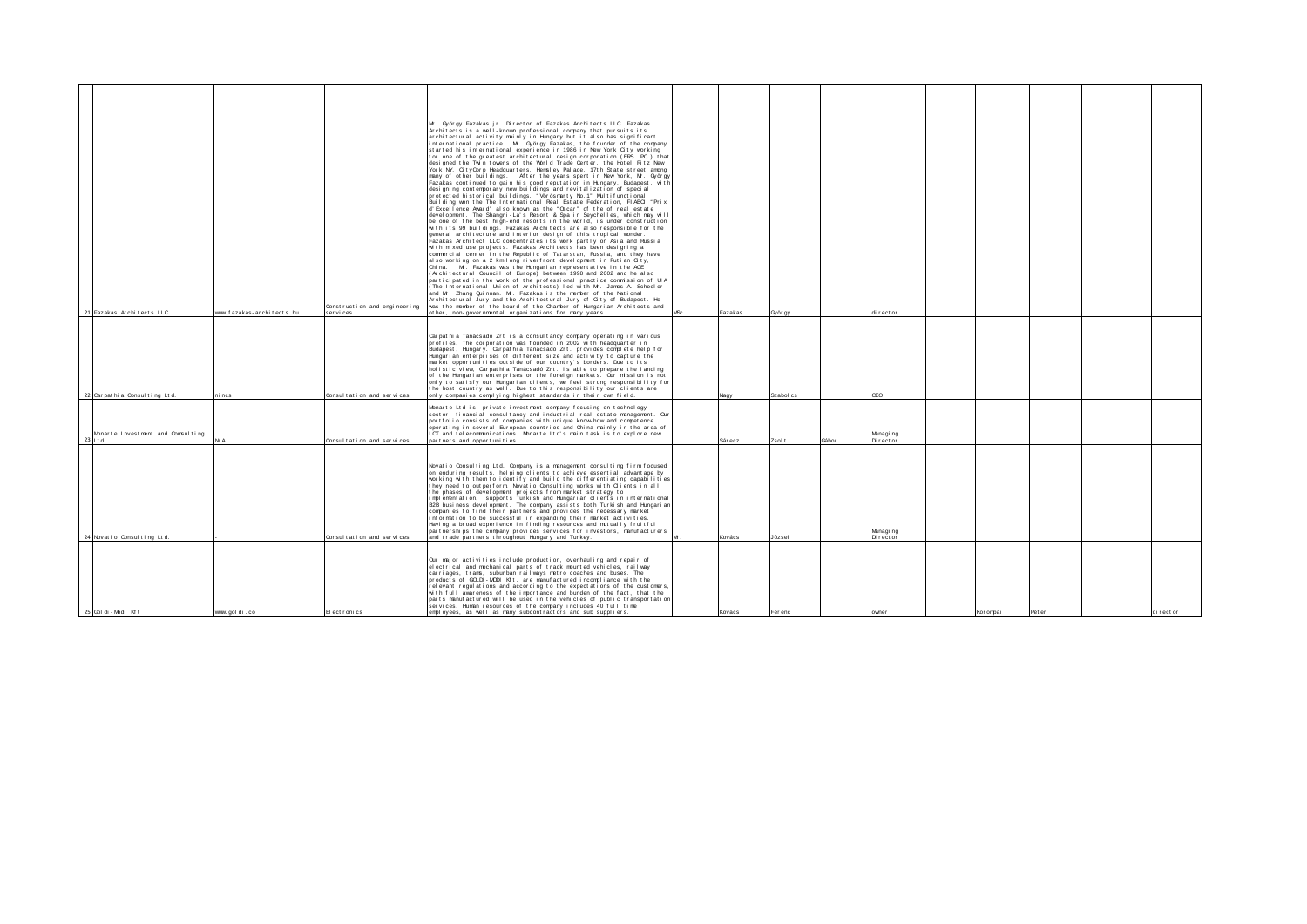|                                               |                              |                              | Mr. György Fazakas jr. Director of Fazakas Architects LLC Fazakas                                                                                   |                 |         |           |       |                         |           |        |          |
|-----------------------------------------------|------------------------------|------------------------------|-----------------------------------------------------------------------------------------------------------------------------------------------------|-----------------|---------|-----------|-------|-------------------------|-----------|--------|----------|
|                                               |                              |                              | Architects is a well-known professional company that pursuits its<br>architectural activity mainly in Hungary but it also has significant           |                 |         |           |       |                         |           |        |          |
|                                               |                              |                              | international practice. Mr. György Fazakas, the founder of the company<br>started his international experience in 1986 in New York City working     |                 |         |           |       |                         |           |        |          |
|                                               |                              |                              | for one of the greatest architectural design corporation (ERS. PC.) that<br>designed the Twin towers of the World Trade Center, the Hotel Ritz New  |                 |         |           |       |                         |           |        |          |
|                                               |                              |                              | York NY, CityCorp Headquarters, Hemsley Palace, 17th State street among                                                                             |                 |         |           |       |                         |           |        |          |
|                                               |                              |                              | many of other buildings. After the years spent in New York, Mr. György<br>Fazakas continued to gain his good reputation in Hungary, Budapest, with  |                 |         |           |       |                         |           |        |          |
|                                               |                              |                              | designing contemporary new buildings and revitalization of special<br>protected historical buildings. "Vörösmarty No. 1" Multifunctional            |                 |         |           |       |                         |           |        |          |
|                                               |                              |                              | Building won the The International Real Estate Federation, FIABCI "Prix<br>d'Excellence Award" also known as the "Oscar" of the of real estate      |                 |         |           |       |                         |           |        |          |
|                                               |                              |                              | development. The Shangri-La's Resort & Spa in Seychelles, which may will<br>be one of the best high-end resorts in the world, is under construction |                 |         |           |       |                         |           |        |          |
|                                               |                              |                              | with its 99 buildings. Fazakas Architects are also responsible for the                                                                              |                 |         |           |       |                         |           |        |          |
|                                               |                              |                              | general architecture and interior design of this tropical wonder.<br>Fazakas Architect LLC concentrates its work partly on Asia and Russia          |                 |         |           |       |                         |           |        |          |
|                                               |                              |                              | with mixed use projects. Fazakas Architects has been designing a<br>commercial center in the Republic of Tatarstan, Russia, and they have           |                 |         |           |       |                         |           |        |          |
|                                               |                              |                              | also working on a 2 km long riverfront development in Putian City,<br>China. Mr. Fazakas was the Hungarian representative in the ACE                |                 |         |           |       |                         |           |        |          |
|                                               |                              |                              | (Architectural Council of Europe) between 1998 and 2002 and he also<br>participated in the work of the professional practice commission of UIA      |                 |         |           |       |                         |           |        |          |
|                                               |                              |                              | (The International Union of Architects) led with Mr. James A. Scheeler<br>and Mr. Zhang Quinnan. Mr. Fazakas is the member of the National          |                 |         |           |       |                         |           |        |          |
|                                               |                              | Construction and engineering | Architectural Jury and the Architectural Jury of City of Budapest. He<br>was the member of the board of the Chamber of Hungarian Architects and     |                 |         |           |       |                         |           |        |          |
| 21 Fazakas Architects LLC                     | www. fazak as-architects, hu | ser vi ces                   | other, non-governmental organizations for many years.                                                                                               | M <sub>Rc</sub> | Fazakas | György    |       | di rect or              |           |        |          |
|                                               |                              |                              |                                                                                                                                                     |                 |         |           |       |                         |           |        |          |
|                                               |                              |                              | Carpathia Tanácsadó Zrt is a consultancy company operating in various<br>profiles. The corporation was founded in 2002 with headquarter in          |                 |         |           |       |                         |           |        |          |
|                                               |                              |                              | Budapest, Hungary. Carpathia Tanácsadó Zrt. provides complete help for<br>Hungarian enterprises of different size and activity to capture the       |                 |         |           |       |                         |           |        |          |
|                                               |                              |                              | market opportunities outside of our country's borders. Due to its                                                                                   |                 |         |           |       |                         |           |        |          |
|                                               |                              |                              | holistic view, Carpathia Tanácsadó Zrt. is able to prepare the landing<br>of the Hungarian enterprises on the foreign markets. Our mission is not   |                 |         |           |       |                         |           |        |          |
|                                               |                              |                              | only to satisfy our Hungarian clients, we feel strong responsibility for<br>the host country as well. Due to this responsibility our clients are    |                 |         |           |       |                         |           |        |          |
| 22 Carpathia Consulting Ltd.                  | ni ncs                       | Consultation and services    | only companies complying highest standards in their own field.                                                                                      |                 |         | Szabol cs |       | CEO                     |           |        |          |
|                                               |                              |                              | Monarte Ltd is private investment company focusing on technology<br>sector, financial consultancy and industrial real estate management. Our        |                 |         |           |       |                         |           |        |          |
|                                               |                              |                              | portfolio consists of companies with unique know-how and competence<br>operating in several European countries and China mainly in the area of      |                 |         |           |       |                         |           |        |          |
| Monarte Investment and Comsulting<br>23 Lt d. | N/A                          | Consultation and services    | ICT and telecommunications. Monarte Ltd's main task is to explore new<br>partners and opportunities.                                                |                 | Sárecz  | Zsol t    | Gábor | Managi ng<br>Di rect or |           |        |          |
|                                               |                              |                              |                                                                                                                                                     |                 |         |           |       |                         |           |        |          |
|                                               |                              |                              | Novatio Consulting Ltd. Company is a management consulting firm focused                                                                             |                 |         |           |       |                         |           |        |          |
|                                               |                              |                              | on enduring results, helping clients to achieve essential advantage by<br>working with them to identify and build the differentiating capabilities  |                 |         |           |       |                         |           |        |          |
|                                               |                              |                              | they need to outperform Novatio Consulting works with Clients in all                                                                                |                 |         |           |       |                         |           |        |          |
|                                               |                              |                              | the phases of development projects from market strategy to<br>implementation, supports Turkish and Hungarian clients in international               |                 |         |           |       |                         |           |        |          |
|                                               |                              |                              | B2B business development. The company assists both Turkish and Hungarian<br>companies to find their partners and provides the necessary market      |                 |         |           |       |                         |           |        |          |
|                                               |                              |                              | information to be successful in expanding their market activities.<br>Having a broad experience in finding resources and mutually fruitful          |                 |         |           |       |                         |           |        |          |
| 24 Novatio Consulting Ltd.                    |                              | Consultation and services    | partnerships the company provides services for investors, manufacturers<br>and trade partners throughout Hungary and Turkey.                        |                 | Kovács  | József    |       | Managi ng<br>Director   |           |        |          |
|                                               |                              |                              |                                                                                                                                                     |                 |         |           |       |                         |           |        |          |
|                                               |                              |                              | Our major activities include production, overhauling and repair of                                                                                  |                 |         |           |       |                         |           |        |          |
|                                               |                              |                              | electrical and mechanical parts of track mounted vehicles, railway<br>carriages, trams, suburban railways metro coaches and buses. The              |                 |         |           |       |                         |           |        |          |
|                                               |                              |                              | products of GCLDI-MODI Kft. are manufactured incompliance with the<br>relevant regulations and according to the expectations of the customers,      |                 |         |           |       |                         |           |        |          |
|                                               |                              |                              | with full awareness of the importance and burden of the fact, that the<br>parts manufactured will be used in the vehicles of public transportation  |                 |         |           |       |                         |           |        |          |
| 25 Goldi-Modi Kft                             | www.goldi.co                 | El ect ronics                | services. Human resources of the company includes 40 full time<br>employees, as well as many subcontractors and sub suppliers.                      |                 | Kovacs  | Fer enc   |       | nwnei                   | Kor ompai | Pét er | director |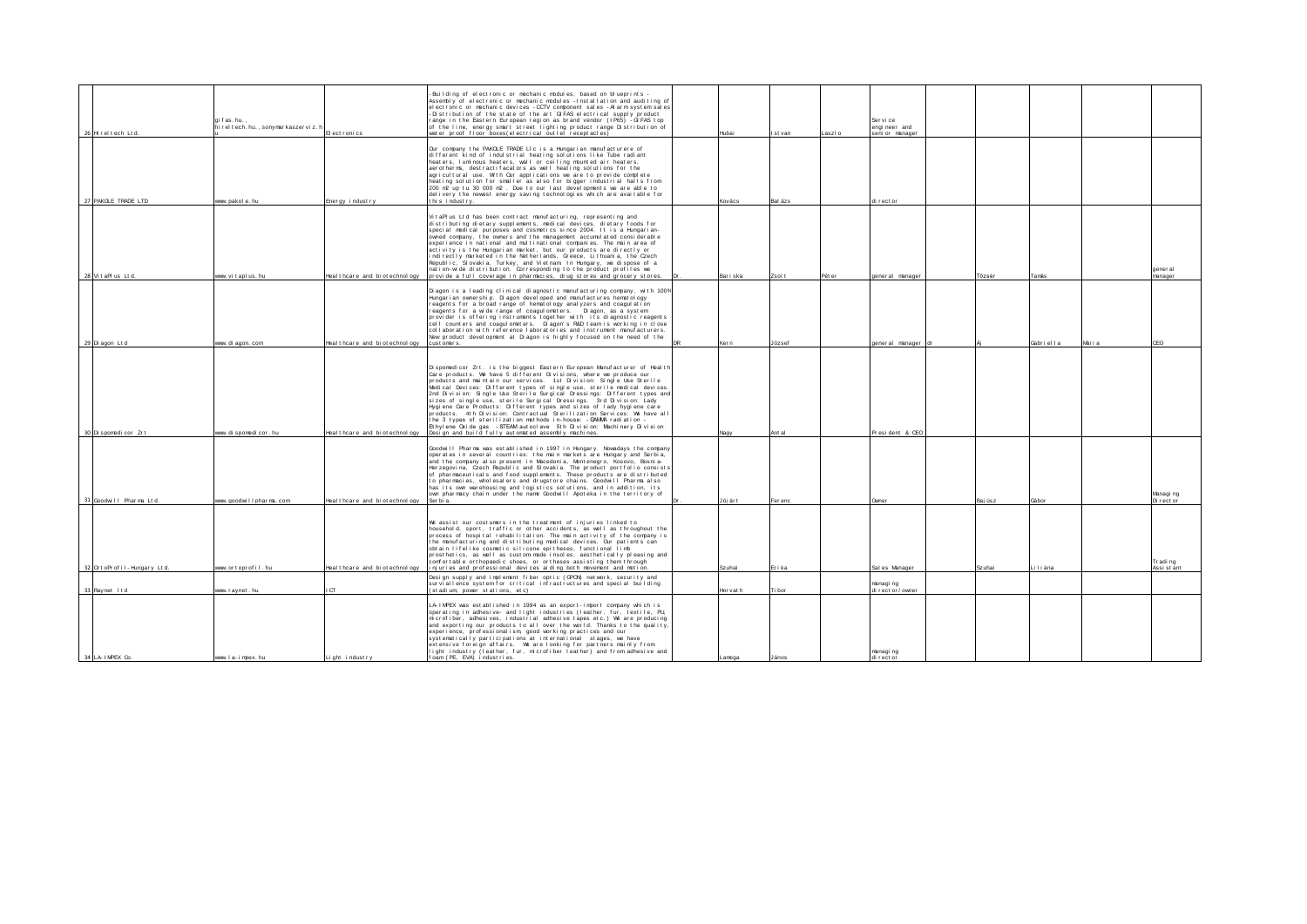| 26 Hirel tech Ltd.              | gifas.hu.,<br>hi rel tech. hu., sonymarkaszervi z. h | El ect ron i cs                        | Building of electronic or mechanic modules, based on blueprints -<br>Assembly of electronic or mechanic modules - Installation and auditing of<br>el ectronic or mechanic devices - CCTV component sales - Al arm system sales<br>-Distribution of the state of the art GIFAS electrical supply product<br>range in the Eastern European region as brand vendor (IP65) - GIFAS top<br>of the line, energy smart street lighting product range Distribution of<br>water proof floor boxes electrical outlet receptacles)                                                                                                                                                                                                                                                                                         | Hibai     | Ist van | laszlo | Service<br>engineer and<br>seni or manager |        |                    |                     |
|---------------------------------|------------------------------------------------------|----------------------------------------|-----------------------------------------------------------------------------------------------------------------------------------------------------------------------------------------------------------------------------------------------------------------------------------------------------------------------------------------------------------------------------------------------------------------------------------------------------------------------------------------------------------------------------------------------------------------------------------------------------------------------------------------------------------------------------------------------------------------------------------------------------------------------------------------------------------------|-----------|---------|--------|--------------------------------------------|--------|--------------------|---------------------|
|                                 |                                                      |                                        |                                                                                                                                                                                                                                                                                                                                                                                                                                                                                                                                                                                                                                                                                                                                                                                                                 |           |         |        |                                            |        |                    |                     |
| 27 PAKOLE TRADE LTD             | www.pakole.hu                                        | Energy industry                        | Our company the PAKOLE TRADE LIc is a Hungarian manufacturere of<br>different kind of indulstrial heating solutions like Tube radiant<br>heaters. I uminous heaters, wall or ceiling mounted air heaters.<br>aerotherms, destractifacators as well heating solutions for the<br>agricultural use. With Our applications we are to provide complete<br>heating solution for smaller as also for bigger industrial halls from<br>200 m2 up tu 30 000 m2. Due to our last developments we are able to<br>delivery the newest energy saving technologies which are available for<br>Ithis industry.                                                                                                                                                                                                                 | Kovács    | Bal ázs |        | director                                   |        |                    |                     |
|                                 |                                                      |                                        |                                                                                                                                                                                                                                                                                                                                                                                                                                                                                                                                                                                                                                                                                                                                                                                                                 |           |         |        |                                            |        |                    |                     |
| 28 VitaPlus Ltd.                | www.vitaplus.hu                                      | Heal thcare and biotechnology          | VitaPlus Ltd has been contract manufacturing, representing and<br>distributing dietary supplements, medical devices, dietary foods for<br>special medical purposes and cosmetics since 2004. It is a Hungarian-<br>owned company, the owners and the management accumulated considerable<br>experience in national and multinational companies. The main area of<br>activity is the Hungarian market, but our products are directly or<br>indirectly marketed in the Netherlands. Greece, Lithuania, the Czech<br>Republic, Slovakia, Turkey, and Vietnam In Hungary, we dispose of a<br>nation-wide distribution. Corresponding to the product profiles we<br>provide a full coverage in pharmacies, drug stores and grocery stores.                                                                           | Bariska   | Zsol t  | Pét er | general manager                            | Tőzsér | Tamás              | gener al<br>manager |
|                                 |                                                      |                                        |                                                                                                                                                                                                                                                                                                                                                                                                                                                                                                                                                                                                                                                                                                                                                                                                                 |           |         |        |                                            |        |                    |                     |
| 29 Di agon Lt d                 | www. di agon. com                                    | Heal thcare and bi otechnology         | Diagon is a leading clinical diagnostic manufacturing company, with 1009<br>Hungarian ownership. Diagon developed and manufactures hematology<br>reagents for a broad range of hematology analyzers and coagulation<br>reagents for a wide range of coagul ometers. Diagon, as a system<br>provider is offering instruments together with its diagnostic reagents<br>cell counters and coagulometers. Diagon's R&D team is working in close<br>collaboration with reference laboratories and instrument manufacturers.<br>New product development at Diagon is highly focused on the need of the<br>cust omers.                                                                                                                                                                                                 | Ker n     | József  |        | general manager                            |        | Gabriella<br>Mária | <b>CEO</b>          |
|                                 |                                                      |                                        |                                                                                                                                                                                                                                                                                                                                                                                                                                                                                                                                                                                                                                                                                                                                                                                                                 |           |         |        |                                            |        |                    |                     |
| 30 Di spomedi cor Zr t          | www. di spomedi cor. hu                              | Heal thcare and bi otechnology         | Disponedicor Zrt. is the biggest Eastern European Manufacturer of Health<br>Care products. We have 5 different Divisions, where we produce our<br>products and maintain our services. 1st Division: Single Use Sterile<br>Medical Devices: Different types of single use, sterile medical devices.<br>2nd Division: Single Use Sterile Surgical Dressings: Different types and<br>sizes of single use, sterile Surgical Dressings. 3rd Division: Lady<br>Hygiene Care Products: Different types and sizes of lady hygiene care<br>products. 4th Division: Contractual Sterilization Services: We have all<br>the 3 types of sterilization methods in-house: -GAMAA radiation -<br>Et hylene Oxide gas - STEAM autoclave 5th Division: Machinery Division<br>Design and build fully automated assembly machines. | Nagy      | Ant al  |        | President & CEO                            |        |                    |                     |
|                                 |                                                      |                                        | Goodwill Pharma was established in 1997 in Hungary. Nowadays the company<br>operates in several countries: the main markets are Hungary and Serbia,<br>and the company also present in Macedonia, Montenegro, Kosovo, Bosnia-<br>Herzegovina, Czech Republic and Slovakia. The product portfolio consists<br>of pharmaceuticals and food supplements. These products are distributed<br>to pharmacies, wholesalers and drugstore chains. Goodwill Pharma also<br>has its own warehousing and logistics solutions, and in addition, its<br>own pharmacy chain under the name Goodwill Apoteka in the territory of                                                                                                                                                                                                |           |         |        |                                            |        |                    | Managi ng           |
| 31 Goodwill Pharma Ltd.         | www.goodwillpharma.com                               | Heal th care and biotechnology Serbia. |                                                                                                                                                                                                                                                                                                                                                                                                                                                                                                                                                                                                                                                                                                                                                                                                                 | Jójárt    | Fer enc |        | Owner                                      | Bajúsz | Gábor              | Di rector           |
| 32 Ort oPr of il - Hungary Ltd. | www.ortoprofil.hu                                    | Heal thcare and biotechnology          | We assist our costumers in the treatment of injuries linked to<br>household, sport, traffic or other accidents, as well as throughout the<br>process of hospital rehabilitation. The main activity of the company is<br>the manufacturing and distributing medical devices. Our patients can<br>obtain lifelike cosmetic silicone epitheses, functional limb<br>prosthetics, as well as custom-made insoles, aesthetically pleasing and<br>comfortable orthopaedic shoes, or ortheses assisting them through<br>injuries and professional devices aiding both movement and motion.                                                                                                                                                                                                                              | Szuhai    | Erika   |        | Sales Manager                              | Szuhai | Liliána            | rading<br>Assistant |
|                                 |                                                      |                                        | Design supply and implement fiber optic (GPCN) network, security and                                                                                                                                                                                                                                                                                                                                                                                                                                                                                                                                                                                                                                                                                                                                            |           |         |        |                                            |        |                    |                     |
| 33 Raynet Itd                   | www.ravnet.hu                                        | CT                                     | surviallence system for critical infrastructures and special building<br>(stadium power stations, etc)                                                                                                                                                                                                                                                                                                                                                                                                                                                                                                                                                                                                                                                                                                          | Hor vat h | Ti bor  |        | managi ng<br>director/owner                |        |                    |                     |
| 34 LA-I MPEX Co.                | www. I a-i mpex. hu                                  | Light industry                         | LA-IMPEX was established in 1994 as an export-import company which is<br>operating in adhesive- and light industries (leather, fur, textile, PU,<br>microfiber, adhesives, industrial adhesive tapes etc.) We are producing<br>and exporting our products to all over the world. Thanks to the quality,<br>experience, professionalism, good working practices and our<br>systematically participations at international stages, we have<br>extensive foreign affairs. We are looking for partners mainly from<br>ight industry (leather, fur, microfiber leather) and from adhesive and<br>foam (PE, EVA) industries.                                                                                                                                                                                          | Lamna     | annal.  |        | managi ng<br>di rector                     |        |                    |                     |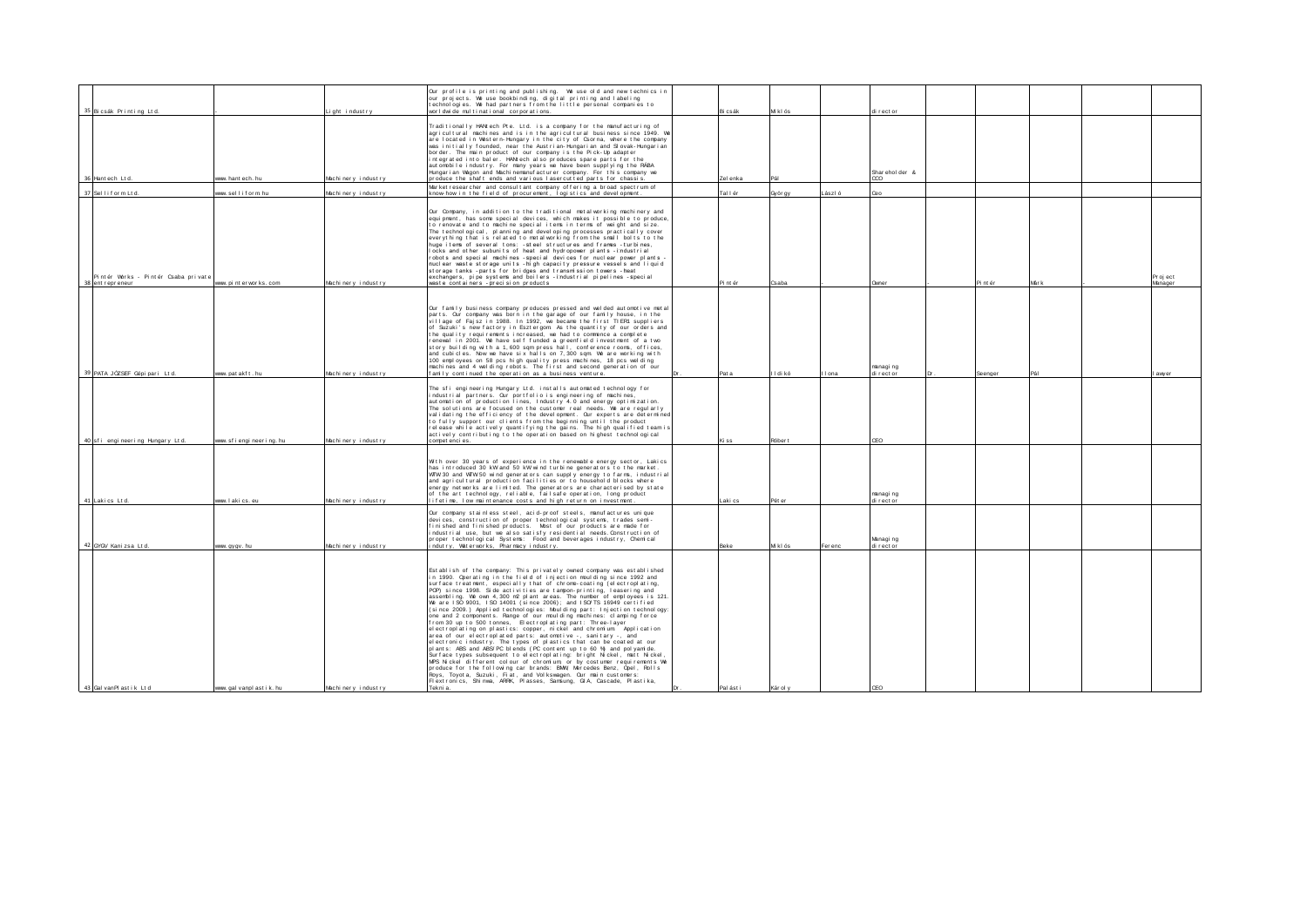|                                     |                           |                    | Our profile is printing and publishing. We use old and new technics in                                                                             |             |          |        |                        |          |       |         |
|-------------------------------------|---------------------------|--------------------|----------------------------------------------------------------------------------------------------------------------------------------------------|-------------|----------|--------|------------------------|----------|-------|---------|
|                                     |                           |                    | our projects. We use bookbinding, digital printing and labeling                                                                                    |             |          |        |                        |          |       |         |
| 35 Bicsák Printing Ltd.             |                           | Light industry     | technologies. We had partners from the little personal companies to<br>worldwide multinational corporations.                                       | Bicsák      | Mklós    |        | di rector              |          |       |         |
|                                     |                           |                    |                                                                                                                                                    |             |          |        |                        |          |       |         |
|                                     |                           |                    | Traditionally HANtech Pte. Ltd. is a company for the manufacturing of                                                                              |             |          |        |                        |          |       |         |
|                                     |                           |                    | agricultural machines and is in the agricultural business since 1949. W<br>are located in Western-Hungary in the city of Csorna, where the company |             |          |        |                        |          |       |         |
|                                     |                           |                    | was initially founded, near the Austrian-Hungarian and Slovak-Hungarian                                                                            |             |          |        |                        |          |       |         |
|                                     |                           |                    | border. The main product of our company is the Pick-Up adapter                                                                                     |             |          |        |                        |          |       |         |
|                                     |                           |                    | integrated into baler. HANtech also produces spare parts for the                                                                                   |             |          |        |                        |          |       |         |
|                                     |                           |                    | automobile industry. For many years we have been supplying the RABA<br>Hungarian Vagon and Machinemanufacturer company. For this company we        |             |          |        | Sharehol der &         |          |       |         |
| 36 Hant ech Lt d.                   | ww hant ech hu            | Machinery industry | produce the shaft ends and various lasercutted parts for chassis.                                                                                  | Zel enka    |          |        | m                      |          |       |         |
|                                     |                           |                    | Market researcher and consultant company offering a broad spectrum of                                                                              |             |          |        |                        |          |       |         |
| 37 Selliform Ltd.                   | www.selliform.hu          | Machinery industry | know-how in the field of procurement, logistics and development                                                                                    | Tol I ér    | Györ gy  | ászl ó | Ceo                    |          |       |         |
|                                     |                           |                    |                                                                                                                                                    |             |          |        |                        |          |       |         |
|                                     |                           |                    | Our Company, in addition to the traditional metal working machinery and                                                                            |             |          |        |                        |          |       |         |
|                                     |                           |                    | equipment, has some special devices, which makes it possible to produce,<br>to renovate and to machine special items in terms of weight and size.  |             |          |        |                        |          |       |         |
|                                     |                           |                    | The technological, planning and developing processes practically cover                                                                             |             |          |        |                        |          |       |         |
|                                     |                           |                    | everything that is related to metal working from the small bolts to the                                                                            |             |          |        |                        |          |       |         |
|                                     |                           |                    | huge items of several tons: - steel structures and frames - Eurbines,<br>locks and other subunits of heat and hydropower plants - Endustrial       |             |          |        |                        |          |       |         |
|                                     |                           |                    | robots and special machines - special devices for nuclear power plants -                                                                           |             |          |        |                        |          |       |         |
|                                     |                           |                    | nuclear waste storage units -high capacity pressure vessels and liquid                                                                             |             |          |        |                        |          |       |         |
| Pintér Works - Pintér Csaba private |                           |                    | storage tanks - parts for bridges and transmission towers - heat<br>exchangers, pipe systems and boilers - Endustrial pipelines - special          |             |          |        |                        |          |       | Project |
| 38 ent r epr eneur                  | www.pinterworks.com       | Machinery industry | waste containers - precision products                                                                                                              | Pint ér     | Csaba    |        | Owner                  | Pi nt ér | Már k | Manager |
|                                     |                           |                    |                                                                                                                                                    |             |          |        |                        |          |       |         |
|                                     |                           |                    |                                                                                                                                                    |             |          |        |                        |          |       |         |
|                                     |                           |                    | Our family business company produces pressed and welded automotive metal                                                                           |             |          |        |                        |          |       |         |
|                                     |                           |                    | parts. Our company was born in the garage of our family house, in the<br>village of Faisz in 1988. In 1992, we became the first TIER1 suppliers    |             |          |        |                        |          |       |         |
|                                     |                           |                    | of Suzuki's new factory in Esztergom As the quantity of our orders and                                                                             |             |          |        |                        |          |       |         |
|                                     |                           |                    | the quality requirements increased, we had to commence a complete                                                                                  |             |          |        |                        |          |       |         |
|                                     |                           |                    | renewal in 2001. We have self funded a greenfield investment of a two<br>story building with a 1,600 sqm press hall, conference rooms, offices,    |             |          |        |                        |          |       |         |
|                                     |                           |                    | and cubicles. Now we have six halls on 7,300 som. We are working with                                                                              |             |          |        |                        |          |       |         |
|                                     |                           |                    | 100 employees on 58 pcs high quality press machines, 18 pcs welding                                                                                |             |          |        |                        |          |       |         |
| 39 PATA JÓZSEF Gépi pari Ltd.       | www.patakft.hu            | Machinery industry | machines and 4 welding robots. The first and second generation of our<br>family continued the operation as a business venture.                     | Pat a       | II di kó | I ona  | managi ng<br>di rector | Seenger  |       | awyer   |
|                                     |                           |                    |                                                                                                                                                    |             |          |        |                        |          |       |         |
|                                     |                           |                    | The sfi engineering Hungary Ltd. installs automated technology for                                                                                 |             |          |        |                        |          |       |         |
|                                     |                           |                    | industrial partners. Our portfolio is engineering of machines,                                                                                     |             |          |        |                        |          |       |         |
|                                     |                           |                    | automation of production lines, Industry 4.0 and energy optimization.<br>The solutions are focused on the customer real needs. We are regularly    |             |          |        |                        |          |       |         |
|                                     |                           |                    | validating the efficiency of the development. Our experts are determined                                                                           |             |          |        |                        |          |       |         |
|                                     |                           |                    | to fully support our clients from the beginning until the product                                                                                  |             |          |        |                        |          |       |         |
|                                     |                           |                    | release while actively quantifying the gains. The high qualified team is                                                                           |             |          |        |                        |          |       |         |
| 40 sfi engineering Hungary Ltd.     | www.sfiengineering.hu     | Machinery industry | actively contributing to the operation based on highest technological<br>compet enci es.                                                           | Kiss        | Róber t  |        | CEO                    |          |       |         |
|                                     |                           |                    |                                                                                                                                                    |             |          |        |                        |          |       |         |
|                                     |                           |                    |                                                                                                                                                    |             |          |        |                        |          |       |         |
|                                     |                           |                    | With over 30 years of experience in the renewable energy sector, Lakics<br>has introduced 30 kW and 50 kW wind turbine generators to the market.   |             |          |        |                        |          |       |         |
|                                     |                           |                    | WTW 30 and WTW 50 wind generators can supply energy to farms, industrial                                                                           |             |          |        |                        |          |       |         |
|                                     |                           |                    | and agricultural production facilities or to household blocks where                                                                                |             |          |        |                        |          |       |         |
|                                     |                           |                    | energy networks are limited. The generators are characterised by state<br>of the art technology, reliable, failsafe operation, long product        |             |          |        | managi ng              |          |       |         |
| 41 Laki cs Ltd.                     | www.lakics.eu             | Machinery industry | lifetime. Iow maintenance costs and high return on investment.                                                                                     | Laki cs     | Pét er   |        | di rector              |          |       |         |
|                                     |                           |                    |                                                                                                                                                    |             |          |        |                        |          |       |         |
|                                     |                           |                    | Our company stainless steel, acid-proof steels, manufactures unique<br>devices, construction of proper technological systems, trades semi-         |             |          |        |                        |          |       |         |
|                                     |                           |                    | finished and finished products. Most of our products are made for                                                                                  |             |          |        |                        |          |       |         |
|                                     |                           |                    | ndustrial use, but we also satisfy residential needs. Construction of                                                                              |             |          |        |                        |          |       |         |
| 42 GYO/ Kani zsa Lt d.              | www.gygv.hu               | Machinery industry | proper technological Systems: Food and beverages industry, Chemical<br>ndutry. Waterworks. Pharmacy industry.                                      | <b>Beke</b> | M klós   | Ferenc | Managi ng<br>di rector |          |       |         |
|                                     |                           |                    |                                                                                                                                                    |             |          |        |                        |          |       |         |
|                                     |                           |                    |                                                                                                                                                    |             |          |        |                        |          |       |         |
|                                     |                           |                    | Establish of the company: This privately owned company was established                                                                             |             |          |        |                        |          |       |         |
|                                     |                           |                    | in 1990. Operating in the field of injection moulding since 1992 and                                                                               |             |          |        |                        |          |       |         |
|                                     |                           |                    | surface treatment, especially that of chrome-coating (electroplating,<br>PCP) since 1998. Side activities are tampon-printing, leasering and       |             |          |        |                        |          |       |         |
|                                     |                           |                    | assembling. We own 4,300 m2 plant areas. The number of employees is 121.                                                                           |             |          |        |                        |          |       |         |
|                                     |                           |                    | We are ISO 9001, ISO 14001 (since 2006); and ISO TS 16949 certified                                                                                |             |          |        |                        |          |       |         |
|                                     |                           |                    | (since 2009.) Applied technologies: Moulding part: Injection technology:<br>one and 2 components. Range of our moulding machines: clamping force   |             |          |        |                        |          |       |         |
|                                     |                           |                    | from 30 up to 500 tonnes, Electroplating part: Three-layer                                                                                         |             |          |        |                        |          |       |         |
|                                     |                           |                    | electroplating on plastics: copper, nickel and chromium Application                                                                                |             |          |        |                        |          |       |         |
|                                     |                           |                    | area of our electroplated parts: automotive -, sanitary -, and<br>electronic industry. The types of plastics that can be coated at our             |             |          |        |                        |          |       |         |
|                                     |                           |                    | pl ant s: ABS and ABS/PC bl ends (PC cont ent up to 60 %) and pol yam de.                                                                          |             |          |        |                        |          |       |         |
|                                     |                           |                    | Surface types subsequent to electroplating: bright Nickel, matt Nickel,                                                                            |             |          |        |                        |          |       |         |
|                                     |                           |                    | MPS Nickel different colour of chromium, or by costumer requirements We<br>produce for the following car brands: BMW, Mercedes Benz, Opel, Rolls   |             |          |        |                        |          |       |         |
|                                     |                           |                    | Roys, Toyota, Suzuki, Fiat, and Volkswagen. Our main customers:                                                                                    |             |          |        |                        |          |       |         |
|                                     |                           |                    | Flextronics, Shinwa, ARRK, Plasses, Samsung, GIA, Cascade, Plastika,                                                                               |             |          |        |                        |          |       |         |
| 43 Gal vanPl astik Ltd              | www.gal vanpl ast i k. hu | Machinery industry | Teknia.                                                                                                                                            | Pal ást i   | Kár ol y |        | CEO                    |          |       |         |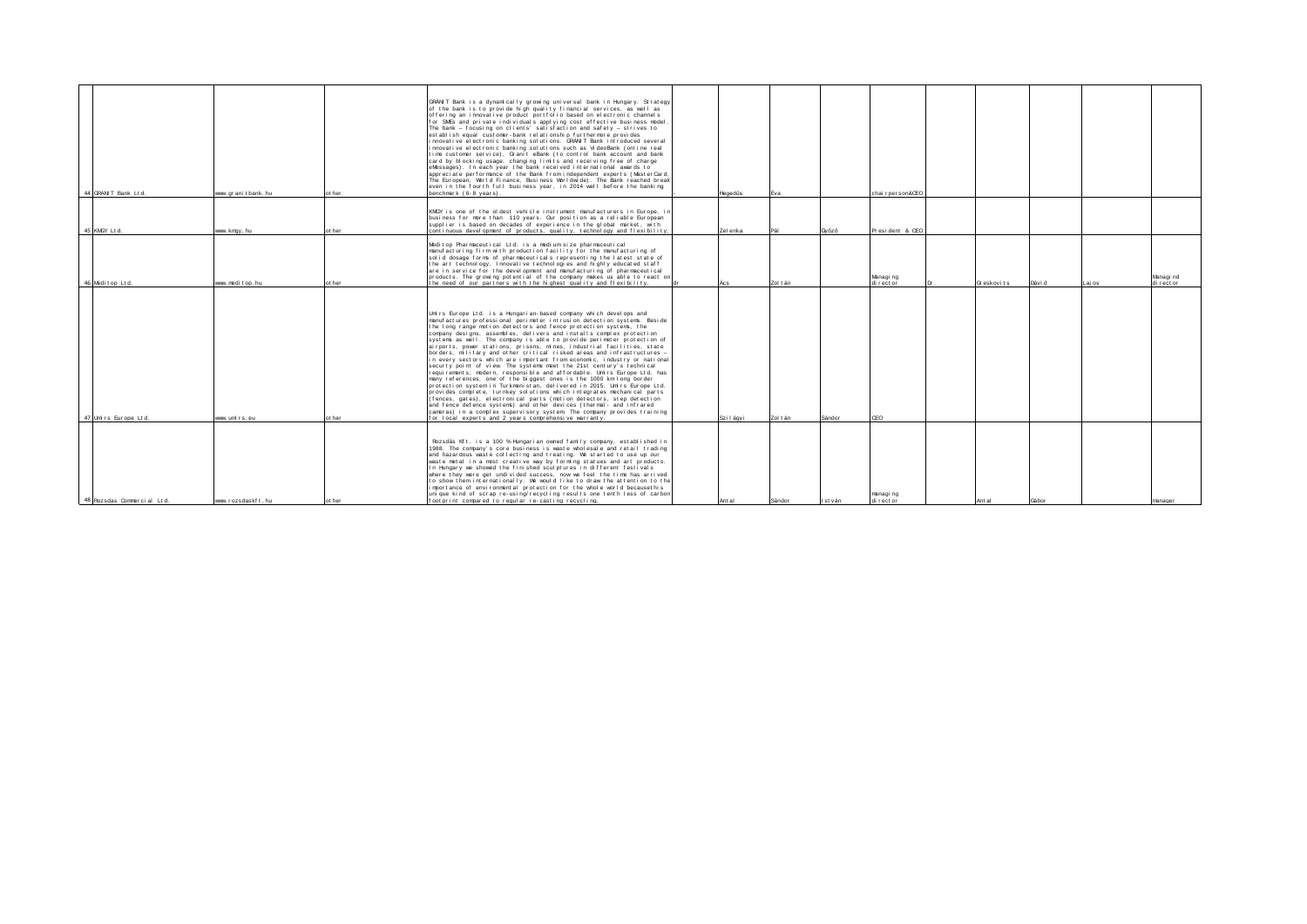| 44 GRAN T Bank Ltd.        | www. gr ani t bank, hu | ot her | GRANT Bank is a dynamically growing universal bank in Hungary. Strategy<br>of the bank is to provide high quality financial services, as well as<br>offering an innovative product portfolio based on electronic channels<br>for SMEs and private individuals applying cost effective business model<br>The bank - focusing on clients' satisfaction and safety - strives to<br>establish equal customer-bank relationship furthermore provides<br>innovative electronic banking solutions. GRANIT Bank introduced several<br>innovative electronic banking solutions such as VideoBank (online real<br>time customer service), Granit eBank (to control bank account and bank<br>card by blocking usage, changing limits and receiving free of charge<br>eMessages). In each year the bank received international awards to<br>appreciate performance of the Bank from independent experts (MasterCard,<br>The European, Vorld Finance, Business Vorldwide). The Bank reached break-<br>even in the fourth full business year, in 2014 well before the banking<br>benchmark (6-8 vears).                                                                                                                                                                               | Hegedüs  | Eva      |         | chair per son&CEO      |             |        |        |                        |
|----------------------------|------------------------|--------|-------------------------------------------------------------------------------------------------------------------------------------------------------------------------------------------------------------------------------------------------------------------------------------------------------------------------------------------------------------------------------------------------------------------------------------------------------------------------------------------------------------------------------------------------------------------------------------------------------------------------------------------------------------------------------------------------------------------------------------------------------------------------------------------------------------------------------------------------------------------------------------------------------------------------------------------------------------------------------------------------------------------------------------------------------------------------------------------------------------------------------------------------------------------------------------------------------------------------------------------------------------------------|----------|----------|---------|------------------------|-------------|--------|--------|------------------------|
| 45 KMW 1td                 | www.kmgy.hu            | t her  | KMGY is one of the oldest vehicle instrument manufacturers in Europe, in<br>business for more than 110 years. Our position as a reliable European<br>supplier is based on decades of experience in the global market, with<br>continuous development of products, quality, technology and flexibility.                                                                                                                                                                                                                                                                                                                                                                                                                                                                                                                                                                                                                                                                                                                                                                                                                                                                                                                                                                  | Zel enka | Pál      | Győző   | President & CEO        |             |        |        |                        |
| 46 Meditop Ltd.            | www. medi t op. hu     | ot her | Meditop Pharmaceutical Ltd. is a medium size pharmaceutical<br>manufacturing firm with production facility for the manufacturing of<br>solid dosage forms of pharmaceuticals representing the latest state of<br>the art technology. Innovative technologies and highly educated staff<br>are in service for the development and manufacturing of pharmaceutical<br>products. The growing potential of the company makes us able to react on<br>the need of our partners with the highest quality and flexibility.                                                                                                                                                                                                                                                                                                                                                                                                                                                                                                                                                                                                                                                                                                                                                      |          | Zol t án |         | Managing<br>di rector  | Gresk ovits | Dávi d | Lai os | Managi nd<br>di rector |
| 47 Umirs Europe Ltd.       | www.umirs.eu           | at her | Unirs Europe Ltd. is a Hungarian-based company which develops and<br>manufactures professional perimeter intrusion detection systems. Beside<br>the long range motion detectors and fence protection systems, the<br>company designs, assembles, delivers and installs complex protection<br>systems as well. The company is able to provide perimeter protection of<br>airports, power stations, prisons, mines, industrial facilities, state<br>borders, military and other critical risked areas and infrastructures -<br>in every sectors which are important from economic, industry or national<br>securty point of view. The systems meet the 21st century's technical<br>requirements; modern, responsible and affordable. Unirs Europe Ltd. has<br>many references, one of the biggest ones is the 1000 km long border<br>protection system in Turkmenistan, delivered in 2015. Unirs Europe Ltd.<br>provides complete, turnkey solutions which integrates mechanical parts<br>(fences, gates), electronical parts (motion detectors, step detection<br>and fence defence systems) and other devices (thermal-and infrared<br>cameras) in a complex supervisory system. The company provides training<br>for local experts and 2 years comprehensive warranty. | Szilágvi | Zol t án | Sándor  | CFO                    |             |        |        |                        |
| 48 Rozsdas Commercial Ltd. | www.rozsdaskft.hu      | ot her | Rozsdás Kft. is a 100 % Hungarian owned family company, established in<br>1988. The company's core business is waste wholesale and retail trading<br>and hazardous waste collecting and treating. We started to use up our<br>waste metal in a most creative way by forming statues and art products.<br>In Hungary we showed the finished sculptures in different festivals<br>where they were get undivided success, now we feel the time has arrived<br>to show them internationally. We would like to draw the attention to the<br>importance of environmental protection for the whole world becausethis<br>unique kind of scrap re-using/recycling results one tenth less of carbon<br>footprint compared to regular re-casting recycling.                                                                                                                                                                                                                                                                                                                                                                                                                                                                                                                        | Ant al   | Sándor   | Ist ván | managi ng<br>di rector | Ant al      | Gábor  |        | manager                |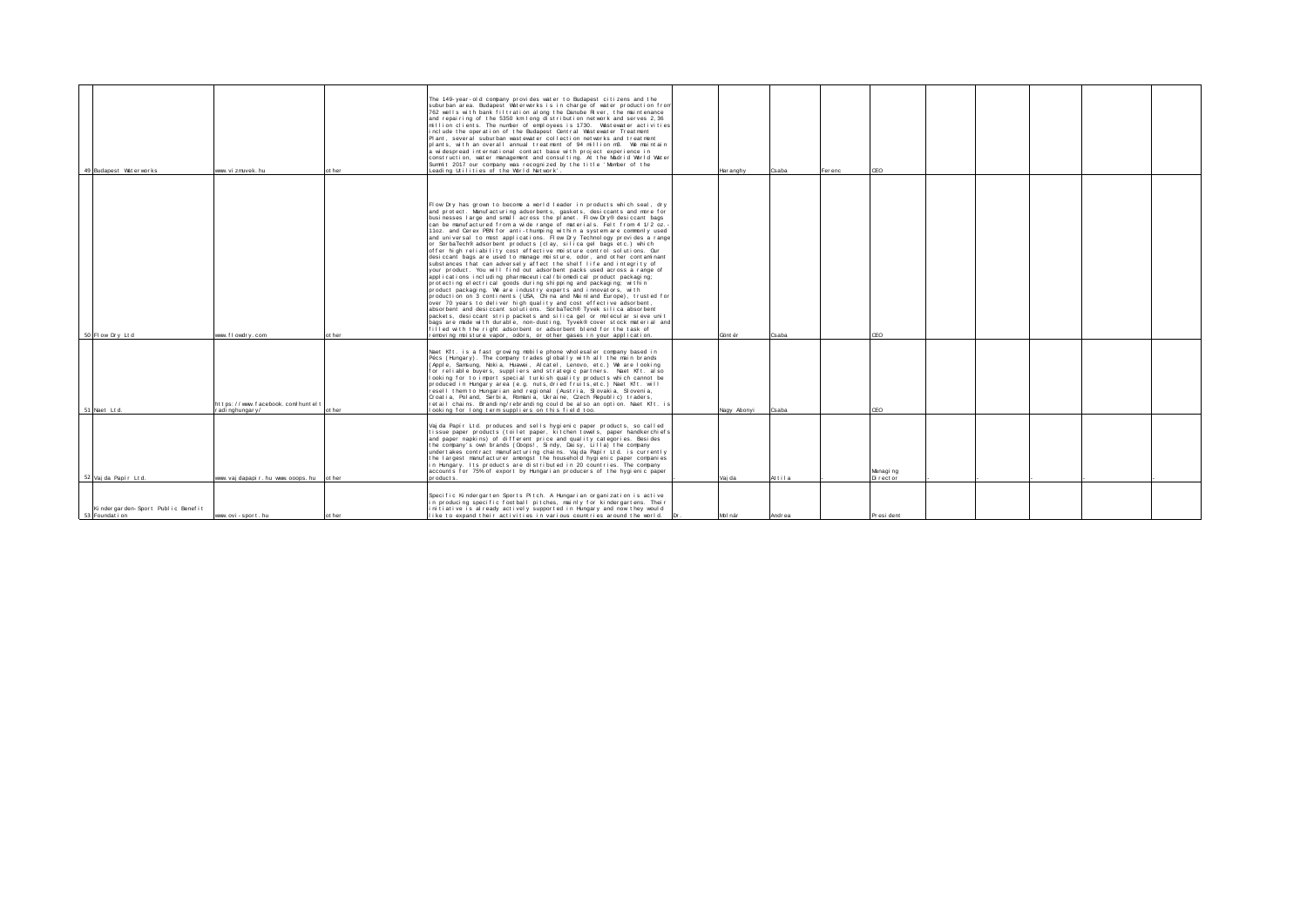|                                   |                                      |        | The 149-year-old company provides water to Budapest citizens and the                                                                               |             |        |        |           |  |  |
|-----------------------------------|--------------------------------------|--------|----------------------------------------------------------------------------------------------------------------------------------------------------|-------------|--------|--------|-----------|--|--|
|                                   |                                      |        | suburban area. Budapest Waterworks is in charge of water production from<br>762 wells with bank filtration along the Danube River, the maintenance |             |        |        |           |  |  |
|                                   |                                      |        | and repairing of the 5350 km long distribution network and serves 2.36                                                                             |             |        |        |           |  |  |
|                                   |                                      |        | million clients. The number of employees is 1730. Wastewater activities                                                                            |             |        |        |           |  |  |
|                                   |                                      |        | include the operation of the Budapest Central Vastewater Treatment                                                                                 |             |        |        |           |  |  |
|                                   |                                      |        | Plant, several suburban wastewater collection networks and treatment                                                                               |             |        |        |           |  |  |
|                                   |                                      |        |                                                                                                                                                    |             |        |        |           |  |  |
|                                   |                                      |        | plants, with an overall annual treatment of 94 million m3. We maintain                                                                             |             |        |        |           |  |  |
|                                   |                                      |        | a widespread international contact base with project experience in                                                                                 |             |        |        |           |  |  |
|                                   |                                      |        | construction, water management and consulting. At the Madrid World Water<br>Summit 2017 our company was recognized by the title 'Member of the     |             |        |        |           |  |  |
| 49 Budanest Water works           | www.vi.zmivek.hu                     | ot her | Leading Utilities of the World Network'                                                                                                            | Har anghy   | Csaba  | Ferenc | CFO       |  |  |
|                                   |                                      |        |                                                                                                                                                    |             |        |        |           |  |  |
|                                   |                                      |        |                                                                                                                                                    |             |        |        |           |  |  |
|                                   |                                      |        |                                                                                                                                                    |             |        |        |           |  |  |
|                                   |                                      |        |                                                                                                                                                    |             |        |        |           |  |  |
|                                   |                                      |        |                                                                                                                                                    |             |        |        |           |  |  |
|                                   |                                      |        | Flow Drv has grown to become a world leader in products which seal, drv                                                                            |             |        |        |           |  |  |
|                                   |                                      |        | and protect. Manufacturing adsorbents, gaskets, desiccants and more for                                                                            |             |        |        |           |  |  |
|                                   |                                      |        | businesses large and small across the planet. Flow-Drv® desiccant bags                                                                             |             |        |        |           |  |  |
|                                   |                                      |        | can be manufactured from a wide range of materials. Felt from 4 1/2 oz.                                                                            |             |        |        |           |  |  |
|                                   |                                      |        | 11 oz. and Cerex PBN for anti-thumping within a system are commonly used                                                                           |             |        |        |           |  |  |
|                                   |                                      |        | and universal to most applications. Flow Dry Technology provides a range                                                                           |             |        |        |           |  |  |
|                                   |                                      |        | or SorbaTech® adsorbent products (clay, silica gel bags etc.) which                                                                                |             |        |        |           |  |  |
|                                   |                                      |        | offer high reliability cost effective mpisture control solutions. Our                                                                              |             |        |        |           |  |  |
|                                   |                                      |        | desiccant bags are used to manage moisture, odor, and other contaminant                                                                            |             |        |        |           |  |  |
|                                   |                                      |        | substances that can adversely affect the shelf life and integrity of                                                                               |             |        |        |           |  |  |
|                                   |                                      |        | your product. You will find out adsorbent packs used across a range of                                                                             |             |        |        |           |  |  |
|                                   |                                      |        | applications including pharmaceutical/biomedical product packaging;                                                                                |             |        |        |           |  |  |
|                                   |                                      |        | protecting electrical goods during shipping and packaging; within                                                                                  |             |        |        |           |  |  |
|                                   |                                      |        | product packaging. We are industry experts and innovators, with                                                                                    |             |        |        |           |  |  |
|                                   |                                      |        | production on 3 continents (USA, China and Mainland Europe), trusted for                                                                           |             |        |        |           |  |  |
|                                   |                                      |        | over 70 years to deliver high quality and cost effective adsorbent,                                                                                |             |        |        |           |  |  |
|                                   |                                      |        | absorbent and desiccant solutions. SorbaTech® Tyvek silica absorbent                                                                               |             |        |        |           |  |  |
|                                   |                                      |        | packets, desiccant strip packets and silica gel or mplecular sieve unit                                                                            |             |        |        |           |  |  |
|                                   |                                      |        | bags are made with durable, non-dusting, Tyvek® cover stock material and                                                                           |             |        |        |           |  |  |
|                                   |                                      |        | filled with the right adsorbent or adsorbent blend for the task of                                                                                 |             |        |        |           |  |  |
| 50 Flow Dry Ltd                   | www. f I owdr v. com                 | ot her | removing moisture vapor, odors, or other gases in your application.                                                                                | Gönt ér     | Csaba  |        | CEO       |  |  |
|                                   |                                      |        |                                                                                                                                                    |             |        |        |           |  |  |
|                                   |                                      |        | Naet Kft, is a fast growing mobile phone wholesaler company based in                                                                               |             |        |        |           |  |  |
|                                   |                                      |        | Pécs (Hungary). The company trades globally with all the main brands                                                                               |             |        |        |           |  |  |
|                                   |                                      |        | (Apple, Samsung, Nokia, Huawei, Alcatel, Lenovo, etc.) We are looking                                                                              |             |        |        |           |  |  |
|                                   |                                      |        | for reliable buvers, suppliers and strategic partners. Naet Kft, also                                                                              |             |        |        |           |  |  |
|                                   |                                      |        | looking for to import special turkish quality products which cannot be                                                                             |             |        |        |           |  |  |
|                                   |                                      |        | produced in Hungary area (e.g. nuts, dried fruits, etc.) Naet Kft. will                                                                            |             |        |        |           |  |  |
|                                   |                                      |        | resell them to Hungarian and regional (Austria, Slovakia, Slovenia,                                                                                |             |        |        |           |  |  |
|                                   |                                      |        | Croatia, Poland, Serbia, Romania, Ukraine, Czech Republic) traders,                                                                                |             |        |        |           |  |  |
|                                   | https://www.facebook.com/huntelt     |        | retail chains. Branding/rebranding could be also an option. Naet Kft. is                                                                           |             |        |        |           |  |  |
| 51 Naet Ltd.                      | adi nghungary/                       | ot her | looking for long term suppliers on this field too.                                                                                                 | Nagy Abonyi | Csaba  |        | CEO       |  |  |
|                                   |                                      |        |                                                                                                                                                    |             |        |        |           |  |  |
|                                   |                                      |        |                                                                                                                                                    |             |        |        |           |  |  |
|                                   |                                      |        | Vaj da Papír Ltd. produces and sells hygienic paper products, so called                                                                            |             |        |        |           |  |  |
|                                   |                                      |        | tissue paper products (toilet paper, kitchen towels, paper handkerchiefs                                                                           |             |        |        |           |  |  |
|                                   |                                      |        | and paper napkins) of different price and quality categories. Besides                                                                              |             |        |        |           |  |  |
|                                   |                                      |        | the company's own brands (Obops!, Sindy, Daisy, Lilla) the company                                                                                 |             |        |        |           |  |  |
|                                   |                                      |        | undertakes contract manufacturing chains. Vajda Papir Ltd. is currently                                                                            |             |        |        |           |  |  |
|                                   |                                      |        | the largest manufacturer amongst the household hygienic paper companies                                                                            |             |        |        |           |  |  |
|                                   |                                      |        | in Hungary. Its products are distributed in 20 countries. The company                                                                              |             |        |        |           |  |  |
|                                   |                                      |        | accounts for 75% of export by Hungarian producers of the hygienic paper                                                                            |             |        |        | Managing  |  |  |
| 52 Vai da Papír Ltd.              | www.vaidapapir.hu www.ooops.hu other |        | pr oduct s                                                                                                                                         | Vai da      | Attila |        | Director  |  |  |
|                                   |                                      |        |                                                                                                                                                    |             |        |        |           |  |  |
|                                   |                                      |        | Specific Kindergarten Sports Pitch. A Hungarian organization is active                                                                             |             |        |        |           |  |  |
|                                   |                                      |        | in producing specific football pitches, mainly for kindergartens. Their                                                                            |             |        |        |           |  |  |
| Kindergarden-Sport Public Benefit |                                      |        | initiative is already actively supported in Hungary and now they would                                                                             |             |        |        |           |  |  |
| 53 Foundat i on                   | www.ovi - sport.hu                   | ot her | like to expand their activities in various countries around the world.                                                                             | Mbl nár     | Andrea |        | President |  |  |
|                                   |                                      |        |                                                                                                                                                    |             |        |        |           |  |  |